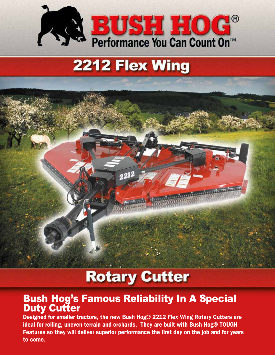

# 2212 Flex Wing



# **Rotary Cutter**

### Bush Hog's Famous Reliability In A Special **Duty Cutter**

Designed for smaller tractors, the new Bush Hog® 2212 Flex Wing Rotary Cutters are ideal for rolling, uneven terrain and orchards. They are built with Bush Hog® TOUGH Features so they will deliver superior performance the first day on the job and for years to come.